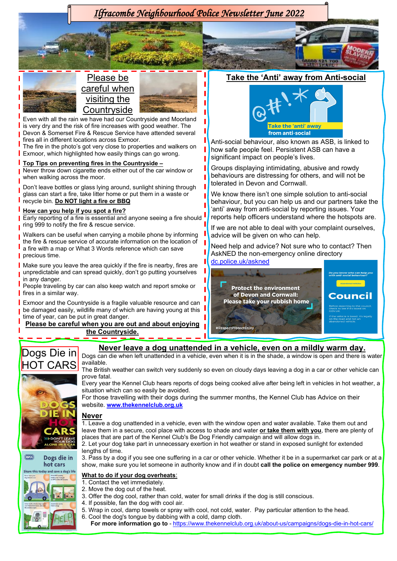

## **Top Tips on preventing fires in the Countryside –**

**Never throw down cigarette ends either out of the car window or** when walking across the moor.

Don't leave bottles or glass lying around, sunlight shining through glass can start a fire, take litter home or put them in a waste or recycle bin. **Do NOT light a fire or BBQ**

## **How can you help if you spot a fire?**

Early reporting of a fire is essential and anyone seeing a fire should ring 999 to notify the fire & rescue service.

Walkers can be useful when carrying a mobile phone by informing the fire & rescue service of accurate information on the location of a fire with a map or What 3 Words reference which can save precious time.

Make sure you leave the area quickly if the fire is nearby, fires are unpredictable and can spread quickly, don't go putting yourselves in any danger.

People traveling by car can also keep watch and report smoke or  $\blacksquare$  fires in a similar way.

**Exmoor and the Countryside is a fragile valuable resource and can** be damaged easily, wildlife many of which are having young at this time of year, can be put in great danger.

**Please be careful when you are out and about enjoying the Countryside.**

significant impact on people's lives.

Groups displaying intimidating, abusive and rowdy behaviours are distressing for others, and will not be tolerated in Devon and Cornwall.

We know there isn't one simple solution to anti-social behaviour, but you can help us and our partners take the 'anti' away from anti-social by reporting issues. Your reports help officers understand where the hotspots are.

If we are not able to deal with your complaint ourselves, advice will be given on who can help.

Need help and advice? Not sure who to contact? Then AskNED the non-emergency online directory [dc.police.uk/askned](https://dc.police.uk/askned)





내용

**RSPCA** 







The British weather can switch very suddenly so even on cloudy days leaving a dog in a car or other vehicle can prove fatal.

**Never leave a dog unattended in a vehicle, even on a mildly warm day.**

Every year the Kennel Club hears reports of dogs being cooked alive after being left in vehicles in hot weather, a situation which can so easily be avoided.

For those travelling with their dogs during the summer months, the Kennel Club has Advice on their website. **[www.thekennelclub.org.uk](http://www.thekennelclub.org.uk/)**

## **Never**

1. Leave a dog unattended in a vehicle, even with the window open and water available. Take them out and leave them in a secure, cool place with access to shade and water **or take them with you**, there are plenty of places that are part of the Kennel Club's Be Dog Friendly campaign and will allow dogs in.

2. Let your dog take part in unnecessary exertion in hot weather or stand in exposed sunlight for extended lengths of time.

3. Pass by a dog if you see one suffering in a car or other vehicle. Whether it be in a supermarket car park or at a show, make sure you let someone in authority know and if in doubt **call the police on emergency number 999**.

## **What to do if your dog overheats**:

- 1. Contact the vet immediately.
- 2. Move the dog out of the heat.
- 3. Offer the dog cool, rather than cold, water for small drinks if the dog is still conscious.
- 4. If possible, fan the dog with cool air.
- 5. Wrap in cool, damp towels or spray with cool, not cold, water. Pay particular attention to the head.
- 6. Cool the dog's tongue by dabbing with a cold, damp cloth.

**For more information go to** - <https://www.thekennelclub.org.uk/about-us/campaigns/dogs-die-in-hot-cars/>